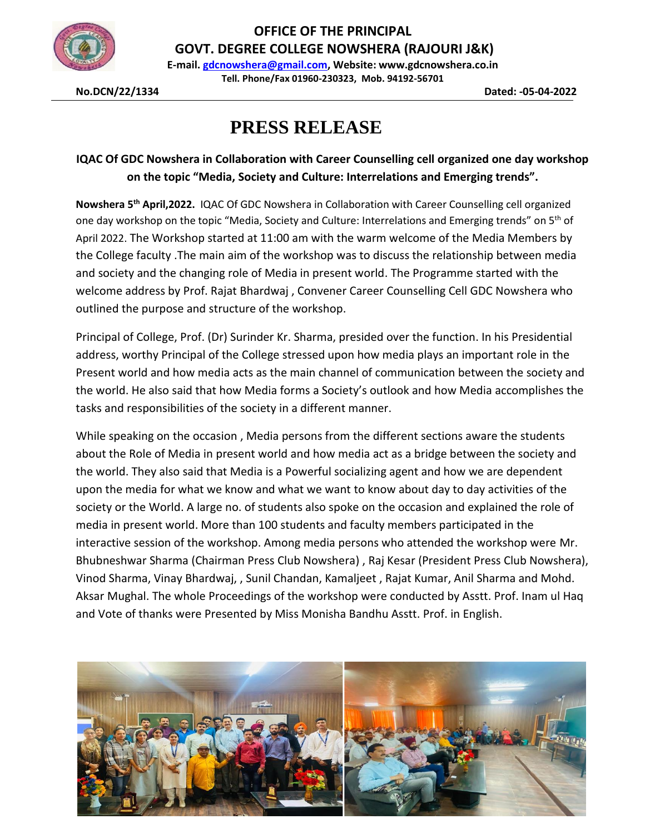

**OFFICE OF THE PRINCIPAL GOVT. DEGREE COLLEGE NOWSHERA (RAJOURI J&K)**

**E-mail. [gdcnowshera@gmail.com,](mailto:gdcnowshera@gmail.com) Website: www.gdcnowshera.co.in Tell. Phone/Fax 01960-230323, Mob. 94192-56701**

**No.DCN/22/1334 Dated: -05-04-2022**

## **PRESS RELEASE**

## **IQAC Of GDC Nowshera in Collaboration with Career Counselling cell organized one day workshop on the topic "Media, Society and Culture: Interrelations and Emerging trends".**

**Nowshera 5 th April,2022.** IQAC Of GDC Nowshera in Collaboration with Career Counselling cell organized one day workshop on the topic "Media, Society and Culture: Interrelations and Emerging trends" on 5<sup>th</sup> of April 2022. The Workshop started at 11:00 am with the warm welcome of the Media Members by the College faculty .The main aim of the workshop was to discuss the relationship between media and society and the changing role of Media in present world. The Programme started with the welcome address by Prof. Rajat Bhardwaj , Convener Career Counselling Cell GDC Nowshera who outlined the purpose and structure of the workshop.

Principal of College, Prof. (Dr) Surinder Kr. Sharma, presided over the function. In his Presidential address, worthy Principal of the College stressed upon how media plays an important role in the Present world and how media acts as the main channel of communication between the society and the world. He also said that how Media forms a Society's outlook and how Media accomplishes the tasks and responsibilities of the society in a different manner.

While speaking on the occasion , Media persons from the different sections aware the students about the Role of Media in present world and how media act as a bridge between the society and the world. They also said that Media is a Powerful socializing agent and how we are dependent upon the media for what we know and what we want to know about day to day activities of the society or the World. A large no. of students also spoke on the occasion and explained the role of media in present world. More than 100 students and faculty members participated in the interactive session of the workshop. Among media persons who attended the workshop were Mr. Bhubneshwar Sharma (Chairman Press Club Nowshera) , Raj Kesar (President Press Club Nowshera), Vinod Sharma, Vinay Bhardwaj, , Sunil Chandan, Kamaljeet , Rajat Kumar, Anil Sharma and Mohd. Aksar Mughal. The whole Proceedings of the workshop were conducted by Asstt. Prof. Inam ul Haq and Vote of thanks were Presented by Miss Monisha Bandhu Asstt. Prof. in English.